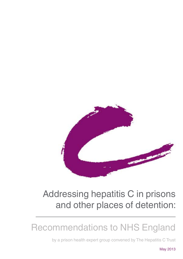

## Addressing hepatitis C in prisons and other places of detention:

# Recommendations to NHS England

by a prison health expert group convened by The Hepatitis C Trust

May 2013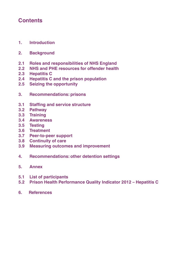## **Contents**

- **1. Introduction**
- **2. Background**
- **2.1 Roles and responsibilities of NHS England**
- **2.2 NHS and PHE resources for offender health**
- **2.3 Hepatitis C**
- **2.4 Hepatitis C and the prison population**
- **2.5 Seizing the opportunity**
- **3. Recommendations: prisons**
- **3.1 Staffing and service structure**
- **3.2 Pathway**
- **3.3 Training**
- **3.4 Awareness**
- **3.5 Testing**
- **3.6 Treatment**
- **3.7 Peer-to-peer support**
- **3.8 Continuity of care**
- **3.9 Measuring outcomes and improvement**
- **4. Recommendations: other detention settings**
- **5. Annex**
- **5.1 List of participants**
- **5.2 Prison Health Performance Quality Indicator 2012 – Hepatitis C**
- **6. References**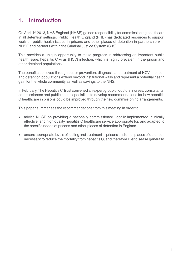## **1. Introduction**

On April 1st 2013, NHS England (NHSE) gained responsibility for commissioning healthcare in all detention settings. Public Health England (PHE) has dedicated resources to support work on public health issues in prisons and other places of detention in partnership with NHSE and partners within the Criminal Justice System (CJS).

This provides a unique opportunity to make progress in addressing an important public health issue: hepatitis C virus (HCV) infection, which is highly prevalent in the prison and other detained populationsi .

The benefits achieved through better prevention, diagnosis and treatment of HCV in prison and detention populations extend beyond institutional walls and represent a potential health gain for the whole community as well as savings to the NHS.

In February, The Hepatitis C Trust convened an expert group of doctors, nurses, consultants, commissioners and public health specialists to develop recommendations for how hepatitis C healthcare in prisons could be improved through the new commissioning arrangements.

This paper summarises the recommendations from this meeting in order to:

- advise NHSE on providing a nationally commissioned, locally implemented, clinically effective, and high quality hepatitis C healthcare service appropriate for, and adapted to the specific needs of prisons and other places of detention in England.
- ensure appropriate levels of testing and treatment in prisons and other places of detention necessary to reduce the mortality from hepatitis C, and therefore liver disease generally.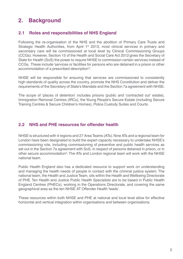## **2. Background**

#### **2.1 Roles and responsibilities of NHS England**

Following the re-organisation of the NHS and the abolition of Primary Care Trusts and Strategic Health Authorities, from April 1<sup>st</sup> 2013, most clinical services in primary and secondary care will be commissioned at local level by Clinical Commissioning Groups (CCGs). However, Section 15 of the Health and Social Care Act 2012gives the Secretary of State for Health (SoS) the power to require NHSE to commission certain services instead of CCGs. These include 'services or facilities for persons who are detained in a prison or other accommodation of a prescribed description'".

NHSE will be responsible for ensuring that services are commissioned to consistently high standards of quality across the country, promote the NHS Constitution and deliver the requirements of the Secretary of State's Mandate and the Section 7a agreement with NHSE.

The scope of 'places of detention' includes prisons (public and 'contracted out' estate), Immigration Removal Centres (IRCs), the Young People's Secure Estate (including Secure Training Centres & Secure Children's Homes), Police Custody Suites and Courts.

#### **2.2 NHS and PHE resources for offender health**

NHSE is structured with 4 regions and 27 Area Teams (ATs). Nine ATs and a regional team for London have been designated to build the expert capacity necessary to undertake NHSE's commissioning role, including commissioning of preventive and public health services as set out in the Section 7a agreement with SoS, in respect of persons detained in prison, or in other secure accommodation<sup>ii</sup>. The ATs and London regional team will work with the NHSE national team.

Public Health England also has a dedicated resource to support work on understanding and managing the health needs of people in contact with the criminal justice system. The national team, the Health and Justice Team, sits within the Health and Wellbeing Directorate of PHE. Ten Health and Justice Public Health Specialists are to be based in Public Health England Centres (PHECs), working in the Operations Directorate, and covering the same geographical area as the ten NHSE AT Offender Health 'leads'.

These resources within both NHSE and PHE at national and local level allow for effective horizontal and vertical integration within organisations and between organisations.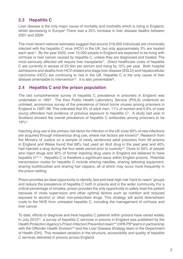#### **2.3 Hepatitis C**

Liver disease is the only major cause of mortality and morbidity which is rising in England, whilst decreasing in Europe<sup>iv</sup>. There was a 25% increase in liver disease deaths between 2001 and 2009v .

The most recent national estimates suggest that around 216,000 individuals are chronically infected with the hepatitis C virus (HCV) in the UK, but only approximately 3% are treated each year<sup>vi</sup>. By the year 2020, over 15,000 people in England are expected to be living with cirrhosis or liver cancer caused by hepatitis C, unless they are diagnosed and treated. The most seriously affected will require liver transplants<sup>vii</sup>. Direct healthcare costs of hepatitis C are currently in excess of £0.5bn per annum and rising by 10% per year. Both hospital admissions and deaths from HCV-related end stage liver disease (ESLD) and hepatocellular carcinoma (HCC) are continuing to rise in the UK. Hepatitis C is the only cause of liver disease amendable to interventionviii. It is also preventable**ix.**

#### **2.4 Hepatitis C and the prison population**

The last comprehensive survey of hepatitis C prevalence in prisoners in England was undertaken in 1997. The then Public Health Laboratory Service (PHLS) undertook an unlinked, anonymous survey of the prevalence of blood borne viruses among prisoners in England in 1997–98. This indicated that 9% of adult men, 11% of women and 0.6% of male young offenders had evidence of previous exposure to hepatitis C<sup>x</sup>. A study last year in Scotland showed the overall prevalence of hepatitis C antibodies among prisoners to be 19%xi.

Injecting drug use is the primary risk factor for infection in the UK (over 90% of new infections are acquired through intravenous drug use, where risk factors are known)<sup>xii</sup>. Research from the Ministry of Justice on a sample of newly sentenced adult prisoners from 49 prisons in England and Wales found that 68% had used an illicit drug in the past year and 40% had injected a drug during the four-week period prior to custody<sup>xiii</sup>. Close to 50% of people who inject drugs and 30% of former injecting drug users in England are believed to have hepatitis C<sup>xiv, xv</sup>. Hepatitis C is therefore a significant issue within English prisons. Potential transmission routes for hepatitis C include sharing needles, sharing tattooing equipment, sharing toothbrushes and sharing hair clippers, all of which may occur more frequently in the prison setting.

Prison provides an ideal opportunity to identify, test and treat high-risk 'hard-to-reach' groups and reduce the prevalence of hepatitis C both in prisons and in the wider community. For a critical percentage of inmates, prison provides the *only* opportunity to safely treat the patient because of close supervision and other optimal factors such as nutrition and reduced exposed to alcohol or other non-prescribed drugs. This strategy will avoid downstream costs to the NHS from untreated hepatitis C, including the management of cirrhosis and liver cancer.

To date, efforts to diagnose and treat hepatitis C patients within prisons have varied widely. In July 2012<sup>xvi</sup>, a survey of hepatitis C services in prisons in England was published by the Health Protection Agency's Prison Infection Prevention team<sup>xvii</sup> (HPA PIP team) in partnership with the Offender Health Division<sup>xviii</sup> and the Liver Disease Strategy team in the Department of Health (DH). This revealed variation in the structure, accessibility and quality of hepatitis C services delivered in prisons across England.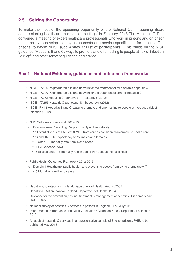#### **2.5 Seizing the Opportunity**

To make the most of the upcoming opportunity of the National Commissioning Board commissioning healthcare in detention settings, in February 2013 The Hepatitis C Trust convened a meeting of expert healthcare professionals who work in prisons and on prison health policy to develop the key components of a service specification for hepatitis C in prisons, to inform NHSE (See **Annex 1: List of participants**). This builds on the NICE guidance, 'Hepatitis B and C: ways to promote and offer testing to people at risk of infection'  $(2012)$ <sup>xix</sup> and other relevant quidance and advice.

#### **Box 1 - National Evidence, guidance and outcomes frameworks**

- NICE TA106 Peginterferon alfa and ribavirin for the treatment of mild chronic hepatitis C
- NICE TA200 Peginterferon alfa and ribavirin for the treatment of chronic hepatitis C
- NICE TA252 Hepatitis C (genotype 1) telaprevir (2012)
- NICE TA253 Hepatitis C (genotype 1) boceprevir (2012)
- NICE PH43 Hepatitis B and C: ways to promote and offer testing to people at increased risk of infection (2012)
- NHS Outcomes Framework 2012-13:
	- o Domain one Preventing People from Dying Prematurely xx
		- s1a Potential Years of Life Lost (PYLL) from causes considered amenable to health care
		- $*1b$ .i and 1b.ii Life Expectancy at 75, males and females
		- $*1.3$  Under 75 mortality rate from liver disease
		- s1.4.i-vi Cancer survival
		- s1.5 Excess under 75 mortality rate in adults with serious mental illness
- Public Health Outcomes Framework 2012-2013
	- o Domain 4 Healthcare, public health, and preventing people from dying prematurely xxi
	- o 4.6 Mortality from liver disease
- Hepatitis C Strategy for England, Department of Health, August 2002
- Hepatitis C Action Plan for England, Department of Health, 2004
- Guidance for the prevention, testing, treatment & management of hepatitis C in primary care, RCGP, 2007
- National survey of hepatitis C services in prisons in England, HPA, July 2012
- Prison Health Performance and Quality Indicators: Guidance Notes, Department of Health, 2012
- An audit of hepatitis C services in a representative sample of English prisons, PHE, to be published May 2013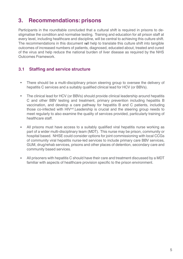## **3. Recommendations: prisons**

Participants in the roundtable concluded that a cultural shift is required in prisons to destigmatise the condition and normalise testing. Training and education for all prison staff at every level, including healthcare and discipline, will be central to achieving this culture shift. The recommendations in this document will help to translate this culture shift into tangible • outcomes of increased numbers of patients, diagnosed, educated about, treated and cured of the virus and help reduce the national burden of liver disease as required by the NHS Outcomes Framework.

#### **3.1 Staffing and service structure**

- There should be a multi-disciplinary prison steering group to oversee the delivery of hepatitis C services and a suitably qualified clinical lead for HCV (or BBVs). •
- The clinical lead for HCV (or BBVs) should provide clinical leadership around hepatitis C and other BBV testing and treatment, primary prevention including hepatitis B vaccination, and develop a care pathway for hepatitis B and C patients, including those co-infected with HIVxxii.Leadership is crucial and the steering group needs to meet regularly to also examine the quality of services provided, particularly training of healthcare staff. •
- All prisons must have access to a suitably qualified viral hepatitis nurse working as part of a wider multi-disciplinary team (MDT). This nurse may be prison, community or hospital based. NHSE could consider options for joint commissioning with local CCGs of community viral hepatitis nurse-led services to include primary care BBV services, GUM, drug/rehab services, prisons and other places of detention, secondary care and community based services. •
- All prisoners with hepatitis C should have their care and treatment discussed by a MDT familiar with aspects of healthcare provision specific to the prison environment. •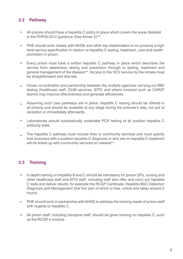#### **3.2 Pathway**

- All prisons should have a hepatitis C policy in place which covers the areas detailed in the PHPQI 2012 quidance (See Annex 2)<sup>xxiii</sup>.  $\bullet$
- PHE should work closely with NHSE and other key stakeholders to co-produce a high level service specification in relation to hepatitis C testing, treatment, care and health promotion in prison. •
- Every prison must have a written hepatitis C pathway in place which describes the service from awareness raising and prevention through to testing, treatment and general management of the disease<sup>xxiv</sup>. Access to the HCV service by the inmate must be straightforward and discrete. •
- Closer co-ordination and partnership between the multiple agencies carrying out BBV testing (healthcare staff, GUM services, IDTS, and others involved such as CARAT teams) may improve effectiveness and generate efficiencies. •
- Assuming such care pathways are in place, hepatitis C testing should be offered in all prisons and should be available at any stage during the prisoner's stay, not just at reception or immediately afterwards. •
- Laboratories should automatically undertake PCR testing of all positive hepatitis C antibody tests. •
- The hepatitis C pathway must include links to community services and must specify how prisoners with a positive hepatitis C diagnosis or who are on hepatitis C treatment will be linked up with community services on release<sup>xxv</sup>. •

### **3.3 Training**

- In depth training on hepatitis B and C should be mandatory for prison GPs, nursing and other healthcare staff and IDTS staff, including staff who offer and carry out hepatitis C tests and deliver results, for example the RCGP Certificate, Hepatitis B&C Detection Diagnosis and Management (the first part of which is free, online and takes around 2 hours).  $\bullet$
- PHE should work in partnership with NHSE to address the training needs of prison staff with regards to hepatitis C. •
- All prison staff, including discipline staff, should be given training on hepatitis C, such as the RCGP e-module. •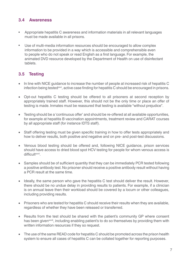#### **3.4 Awareness**

- Appropriate hepatitis C awareness and information materials in all relevant languages must be made available in all prisons. •
- Use of multi-media information resources should be encouraged to allow complex information to be provided in a way which is accessible and comprehensible even to people who do not speak or read English as a first language. For example, the animated DVD resource developed by the Department of Health on use of disinfectant tablets. •

### **3.5 Testing**

- In line with NICE guidance to increase the number of people at increased risk of hepatitis C infection being tested<sup>xxvi</sup>, active case finding for hepatitis C should be encouraged in prisons.
- Opt-out hepatitis C testing should be offered to all prisoners at second reception by appropriately trained staff. However, this should not be the only time or place an offer of testing is made. Inmates must be reassured that testing is available "without prejudice".
- Testing should be a 'continuous offer' and should be re-offered at all available opportunities, for example at hepatitis B vaccination appointments, treatment review and CARAT courses by all appropriate staff (for instance IDTS staff).
- Staff offering testing must be given specific training in how to offer tests appropriately and how to deliver results, both positive and negative and on pre- and post-test discussions.
- Venous blood testing should be offered and, following NICE guidance, prison services should have access to dried blood spot HCV testing for people for whom venous access is difficult<sup>xxvii</sup>.
- Samples should be of sufficient quantity that they can be immediately PCR tested following a positive antibody test. No prisoner should receive a positive antibody result without having a PCR result at the same time.
- Ideally, the same person who gave the hepatitis C test should deliver the result. However, there should be no undue delay in providing results to patients. For example, if a clinician is on annual leave then their workload should be covered by a locum or other colleagues, including providing results.
- Prisoners who are tested for hepatitis C should receive their results when they are available, regardless of whether they have been released or transferred.
- Results from the test should be shared with the patient's community GP where consent has been given<sup>xxviii</sup>, including enabling patient's to do so themselves by providing them with written information resources if they so request.
- The use of the same READ code for hepatitis C should be promoted across the prison health system to ensure all cases of hepatitis C can be collated together for reporting purposes.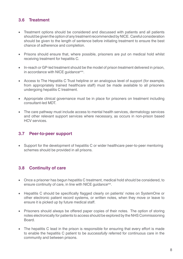#### **3.6 Treatment**

- Treatment options should be considered and discussed with patients and all patients should be given the option of any treatment recommended by NICE. Careful consideration should be given to the length of sentence before initiating treatment to ensure the best chance of adherence and completion.
- Prisons should ensure that, where possible, prisoners are put on medical hold whilst receiving treatment for hepatitis C.
- In-reach or GP-led treatment should be the model of prison treatment delivered in prison, in accordance with NICE quidancexxix.
- Access to The Hepatitis C Trust helpline or an analogous level of support (for example, from appropriately trained healthcare staff) must be made available to all prisoners undergoing hepatitis C treatment.
- Appropriate clinical governance must be in place for prisoners on treatment including consultant-led MDT.
- The care pathway must include access to mental health services, dermatology services and other relevant support services where necessary, as occurs in non-prison based HCV services.

#### **3.7 Peer-to-peer support**

• Support for the development of hepatitis C or wider healthcare peer-to-peer mentoring schemes should be provided in all prisons.

#### **3.8 Continuity of care**

- Once a prisoner has begun hepatitis C treatment, medical hold should be considered, to ensure continuity of care, in line with NICE quidance<sup>xxx</sup>.
- Hepatitis C should be specifically flagged clearly on patients' notes on SystemOne or other electronic patient record systems, or written notes, when they move or leave to ensure it is picked up by future medical staff.
- Prisoners should always be offered paper copies of their notes. The option of storing notes electronically for patients to access should be explored by the NHS Commissioning Board.
- The hepatitis C lead in the prison is responsible for ensuring that every effort is made to enable the hepatitis C patient to be *successfully* referred for continuous care in the community and between prisons.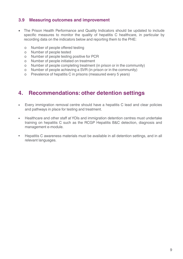#### **3.9 Measuring outcomes and improvement**

- The Prison Health Performance and Quality Indicators should be updated to include specific measures to monitor the quality of hepatitis C healthcare, in particular by recording data on the indicators below and reporting them to the PHE:
	- o Number of people offered testing
	- o Number of people tested
	- o Number of people testing positive for PCR
	- o Number of people initiated on treatment
	- o Number of people completing treatment (in prison or in the community)
	- o Number of people achieving a SVR (in prison or in the community)
	- o Prevalence of hepatitis C in prisons (measured every 5 years)

## **4. Recommendations: other detention settings**

- Every immigration removal centre should have a hepatitis C lead and clear policies and pathways in place for testing and treatment. •
- Healthcare and other staff at YOIs and immigration detention centres must undertake training on hepatitis C such as the RCGP Hepatitis B&C detection, diagnosis and management e-module. •
- Hepatitis C awareness materials must be available in all detention settings, and in all relevant languages. •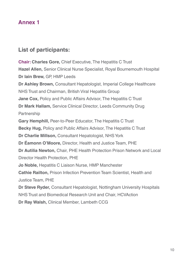## **Annex 1**

## **List of participants:**

**Chair: Charles Gore,** Chief Executive, The Hepatitis C Trust **Hazel Allen,** Senior Clinical Nurse Specialist, Royal Bournemouth Hospital **Dr Iain Brew,** GP, HMP Leeds **Dr Ashley Brown,** Consultant Hepatologist, Imperial College Healthcare NHS Trust and Chairman, British Viral Hepatitis Group **Jane Cox,** Policy and Public Affairs Advisor, The Hepatitis C Trust **Dr Mark Hallam,** Service Clinical Director, Leeds Community Drug **Partnership Gary Hemphill,** Peer-to-Peer Educator, The Hepatitis C Trust **Becky Hug,** Policy and Public Affairs Advisor, The Hepatitis C Trust **Dr Charlie Millson,** Consultant Hepatologist, NHS York **Dr Éamonn O'Moore,** Director, Health and Justice Team, PHE **Dr Autilia Newton,** Chair, PHE Health Protection Prison Network and Local Director Health Protection, PHE **Jo Noble,** Hepatitis C Liaison Nurse, HMP Manchester **Cathie Railton,** Prison Infection Prevention Team Scientist, Health and Justice Team, PHE **Dr Steve Ryder,** Consultant Hepatologist, Nottingham University Hospitals NHS Trust and Biomedical Research Unit and Chair, HCVAction **Dr Ray Walsh,** Clinical Member, Lambeth CCG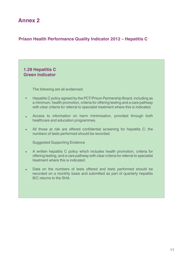## **Annex 2**

#### **Prison Health Performance Quality Indicator 2012 – Hepatitis C**

## **1.29 Hepatitis C Green Indicator** The following are all evidenced: Hepatitis C policy agreed by the PCT/Prison Partnership Board, including as a minimum, health promotion, criteria for offering testing and a care pathway with clear criteria for referral to specialist treatment where this is indicated. Access to information on harm minimisation, provided through both healthcare and education programmes. All those at risk are offered confidential screening for hepatitis C: the numbers of tests performed should be recorded. Suggested Supporting Evidence A written hepatitis C policy which includes health promotion, criteria for offering testing, and a care pathway with clear criteria for referral to specialist treatment where this is indicated. Data on the numbers of tests offered and tests performed should be recorded on a monthly basis and submitted as part of quarterly hepatitis B/C returns to the SHA. • • • • •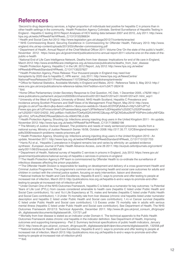### **References**

i Second to drug dependency services, a higher proportion of individuals test positive for hepatitis C in prisons than in other health settings in the community. Health Protection Agency Colindale, Sentinel Surveillance of Hepatitis Testing in England - Hepatitis C testing 2010 Report Analyses of HCV testing data between 2007 and 2010, July 2011: [http://www.](http://www.hpa.org.uk/webc/HPAwebFile/HPAweb_C/1313155286634) [hpa.org.uk/webc/HPAwebFile/HPAweb\\_C/1313155286634](http://www.hpa.org.uk/webc/HPAwebFile/HPAweb_C/1313155286634)

ii Health and Social Care Act 2012:<http://www.legislation.gov.uk/ukpga/2012/7/contents/enacted>

iii NHS Commissioning Board, Securing Excellence in Commissioning for Offender Health, February 2013: [http://www.](http://www.england.nhs.uk/wp-content/uploads/2013/03/offender-commissioning.pdf) [england.nhs.uk/wp-content/uploads/2013/03/offender-commissioning.pdf](http://www.england.nhs.uk/wp-content/uploads/2013/03/offender-commissioning.pdf)

iv Department of Health, Annual Report of the Chief Medical Officer 2011: Volume One 'On the state of the public's health', November 2012: [https://www.gov.uk/government/publications/cmo-](https://www.gov.uk/government/publications/cmo-annual-report-2011-volume-one-on-the-state-of-the-public-s-health)annual-report-2011-volume-one-on-the-state-of-thepublic-s-health

v National End of Life Care Intelligence Network, Deaths from liver disease: Implications for end of life care in England, March 2012: [http://www.endoflifecare-intelligence.org.uk/resources/publications/deaths\\_from\\_liver\\_disease](http://www.endoflifecare-intelligence.org.uk/resources/publications/deaths_from_liver_disease)

vi Health Protection Agency, Hepatitis C in the UK: 2012 Report, July 2012: [http://www.hpa.org.uk/webw/](http://www.hpa.org.uk/webw/HPAweb&HPAwebStandard/HPAweb_C/1317135237627) [HPAweb&](http://www.hpa.org.uk/webw/HPAweb&HPAwebStandard/HPAweb_C/1317135237627)HPAwebStandard/HPAweb\_C/1317135237627

vii Health Protection Agency, Press Release: 'Four thousand people in England may need liver transplants by 2020 due to hepatitis C, HPA warns', July 2011: [http://www.hpa.org.uk/NewsCentre/](http://www.hpa.org.uk/NewsCentre/NationalPressReleases/2011PressReleases/110728HepCmayleadtotransplantneeds) [NationalPressReleases/2011PressReleases/110728HepCmayleadtotransplantneeds/](http://www.hpa.org.uk/NewsCentre/NationalPressReleases/2011PressReleases/110728HepCmayleadtotransplantneeds)

viii Office for National Statistics, Avoidable Mortality in England and Wales, 2010 - Reference Table 3, May 2012: [http://](http://www.ons.gov.uk/ons/publications/re-reference-tables.html?edition=tcm%3A77-262418) [www.ons.gov.uk/ons/publications/re-reference-tables.html?edition=tcm%3A77-262418](http://www.ons.gov.uk/ons/publications/re-reference-tables.html?edition=tcm%3A77-262418) ix Ibid.

<sup>x</sup>Home Office Parliamentary Under-Secretary Response to Oral Question, HC Deb, 1 December 2005, c762W: [http://](http://www.publications.parliament.uk/pa/cm200506/cmhansrd/vo051201/text/51201w31.htm#51201w31.html_wqn1 ) [www.publications.parliament.uk/pa/cm200506/cmhansrd/vo051201/text/51201w31.htm#51201w31.html\\_wqn1](http://www.publications.parliament.uk/pa/cm200506/cmhansrd/vo051201/text/51201w31.htm#51201w31.html_wqn1 )  xi University of the West of England, University of Bristol, NHS Health Scotland, Hepatitis C Prevalence and Incidence among Scottish Prisoners and Staff Views of its Management: Final Report, May 2012: [http://www.](http://www.google.co.uk/url?sa=t&rct=j&q=&esrc=s&frm=1&source=web&cd=1&ved=0CDYQFjAA&url=http%3A%2F%2Fwww.sps.gov.uk%2Fnmsruntime%2Fsaveasdialog.aspx%3FfileName%3DHepatitis%2520C%2520Prevalance%2520011020124252_942.pdf&ei=1kd5UbmTOeKp0QXUt4HACQ&usg=AFQjCNGdtus26rIIFYi0iPdmrJo6vyA8YQ&sig2=hhU_tzPz4uZNt4CPAoxaiQ&bvm=bv.45645796,d.d2k) [google.co.uk/url?sa=t&rct=j&q=&esrc=s&frm=1&source=web&cd=1&ved=0CDYQFjAA&url=http%3A%2F%2](http://www.google.co.uk/url?sa=t&rct=j&q=&esrc=s&frm=1&source=web&cd=1&ved=0CDYQFjAA&url=http%3A%2F%2Fwww.sps.gov.uk%2Fnmsruntime%2Fsaveasdialog.aspx%3FfileName%3DHepatitis%2520C%2520Prevalance%2520011020124252_942.pdf&ei=1kd5UbmTOeKp0QXUt4HACQ&usg=AFQjCNGdtus26rIIFYi0iPdmrJo6vyA8YQ&sig2=hhU_tzPz4uZNt4CPAoxaiQ&bvm=bv.45645796,d.d2k) [Fwww.sps.gov.uk%2Fnmsruntime%2Fsaveasdialog.aspx%3FfileName%3DHepatitis%2520C%2520Prevalan](http://www.google.co.uk/url?sa=t&rct=j&q=&esrc=s&frm=1&source=web&cd=1&ved=0CDYQFjAA&url=http%3A%2F%2Fwww.sps.gov.uk%2Fnmsruntime%2Fsaveasdialog.aspx%3FfileName%3DHepatitis%2520C%2520Prevalance%2520011020124252_942.pdf&ei=1kd5UbmTOeKp0QXUt4HACQ&usg=AFQjCNGdtus26rIIFYi0iPdmrJo6vyA8YQ&sig2=hhU_tzPz4uZNt4CPAoxaiQ&bvm=bv.45645796,d.d2k) [ce%2520011020124252\\_942.pdf&ei=1kd5UbmTOeKp0QXUt4HACQ&usg=AFQjCNGdtus26rIIFYi0iPdmrJo6vyA8YQ&s](http://www.google.co.uk/url?sa=t&rct=j&q=&esrc=s&frm=1&source=web&cd=1&ved=0CDYQFjAA&url=http%3A%2F%2Fwww.sps.gov.uk%2Fnmsruntime%2Fsaveasdialog.aspx%3FfileName%3DHepatitis%2520C%2520Prevalance%2520011020124252_942.pdf&ei=1kd5UbmTOeKp0QXUt4HACQ&usg=AFQjCNGdtus26rIIFYi0iPdmrJo6vyA8YQ&sig2=hhU_tzPz4uZNt4CPAoxaiQ&bvm=bv.45645796,d.d2k) [ig2=hhU\\_tzPz4uZNt4CPAoxaiQ&bvm=bv.45645796,d.d2k](http://www.google.co.uk/url?sa=t&rct=j&q=&esrc=s&frm=1&source=web&cd=1&ved=0CDYQFjAA&url=http%3A%2F%2Fwww.sps.gov.uk%2Fnmsruntime%2Fsaveasdialog.aspx%3FfileName%3DHepatitis%2520C%2520Prevalance%2520011020124252_942.pdf&ei=1kd5UbmTOeKp0QXUt4HACQ&usg=AFQjCNGdtus26rIIFYi0iPdmrJo6vyA8YQ&sig2=hhU_tzPz4uZNt4CPAoxaiQ&bvm=bv.45645796,d.d2k)

xii Health Protection Agency, Shooting Up: Infections among injecting drug users in the United Kingdom 2011 - An update, November 2012: [http://www.hpa.org.uk/webc/HPAwebFile/HPAweb\\_C/1317136882198](http://www.hpa.org.uk/webc/HPAwebFile/HPAweb_C/1317136882198)

xiii The Ministry of Justice: Duncan Stewart, The problems and needs of newly sentenced prisoners: results from a national survey, Ministry of Justice Research Series 16/08, October 2008: [http://217.35.77.12/CB/england/research/](http://217.35.77.12/CB/england/research/pdfs/2008/research-problems-needs-prisoners.pdf) [pdfs/2008/research-problems-needs-prisoners.pdf](http://217.35.77.12/CB/england/research/pdfs/2008/research-problems-needs-prisoners.pdf)

xiv Health Protection Agency, Shooting Up: Infections among injecting drug users in the United Kingdom 2010 - An update, November 2011: [http://www.hpa.org.uk/webw/HPAweb&](http://www.hpa.org.uk/webw/HPAweb&HPAwebStandard/HPAweb_C/1317131221703)HPAwebStandard/HPAweb\_C/1317131221703 xv Harris RJ et al., 'Hepatitis C prevalence in England remains low and varies by ethnicity: an updated evidence synthesis', European Journal of Public Health Advance Access, June 26 2011: [http://eurpub.oxfordjournals.org/content/](http://eurpub.oxfordjournals.org/content/early/2011/06/25/eurpub.ckr083.full) [early/2011/06/25/eurpub.ckr083.full](http://eurpub.oxfordjournals.org/content/early/2011/06/25/eurpub.ckr083.full)

xvi Department of Health, National survey of hepatitis C services in prisons in England, July 2012: [https://www.gov.uk/](https://www.gov.uk/government/publications/national-survey-of-hepatitis-c-services-in-prisons-in-england) [government/publications/national-](https://www.gov.uk/government/publications/national-survey-of-hepatitis-c-services-in-prisons-in-england)survey-of-hepatitis-c-services-in-prisons-in-england

xvii The Health Protection Agency's PIP team is commissioned by Offender Health to co-ordinate the surveillance of infectious diseases affecting the prison population.

xviii The Offender Health Division is responsible for leading on development and delivery of a cross government Health and Criminal Justice Programme. The programme's common aim is improving health and social care outcomes for adults and children in contact with the criminal justice system, focusing on early intervention, liaison and diversion.

xix National Institute for Health and Care Excellence, Hepatitis B and C: ways to promote and offer testing to people at increased risk of infection, March 2013: [http://publications.nice.org.uk/hepatitis-](http://publications.nice.org.uk/hepatitis-b-and-c-ways-to-promote-and-offer-testing-to-people-at-increased-risk-of-infection-ph43)b-and-c-ways-to-promote-and-offertesting-to-people-at-increased-risk-of-infection-ph43

xx Under Domain One of the NHS Outcomes Framework, hepatitis C is listed as a numerator for key outcomes: 1a Potential Years of Life Lost (PYLL) from causes considered amenable to health care (hepatitis C listed under Public Health and Social Care contribution); 1b.i and 1b.ii Life Expectancy at 75, males and females (hepatitis C listed under Public Health and Social Care contribution); 1.3 Under 75 mortality rate from liver disease (chronic viral hepatitis listed under numerator description and hepatitis C listed under Public Health and Social care contribution); 1.4.i-vi Cancer survival (hepatitis C listed under Public Health and Social care contribution); 1.5 Excess under 75 mortality rate in adults with serious mental illness (hepatitis C listed under Public Health and Social care contribution). See Department of Health, The NHS Outcomes Framework 2012/13: Technical Appendix, December 2011: [http://www.dh.gov.uk/prod\\_consum\\_dh/groups/](http://www.dh.gov.uk/prod_consum_dh/groups/dh_digitalassets/documents/digitalasset/dh_131721.pdf) [dh\\_digitalassets/documents/digitalasset/dh\\_131721.pdf](http://www.dh.gov.uk/prod_consum_dh/groups/dh_digitalassets/documents/digitalasset/dh_131721.pdf)

xxi Mortality from liver disease is stated as an indicator under Domain 4. The technical appendix to the Public Health Outcomes Framework states chronic viral hepatitis in the indicator definition. See Department of Health, Improving outcomes and supporting transparency - Part 2: Summary technical specifications of public health indicators, January 2012: [http://www.dh.gov.uk/prod\\_consum\\_dh/groups/dh\\_digitalassets/](http://www.dh.gov.uk/prod_consum_dh/groups/dh_digitalassets/@dh/@en/documents/digitalasset/dh_132558.pdf)@dh/@en/documents/digitalasset/dh\_132558.pdf xxii National Institute for Health and Care Excellence, Hepatitis B and C: ways to promote and offer testing to people at increased risk of infection, March 2013: [http://publications.nice.org.uk/hepatitis-](http://publications.nice.org.uk/hepatitis-b-and-c-ways-to-promote-and-offer-testing-to-people-at-increased-risk-of-infection-ph43)b-and-c-ways-to-promote-and-offertesting-to-people-at-increased-risk-of-infection-ph43

xxiv Ibid.